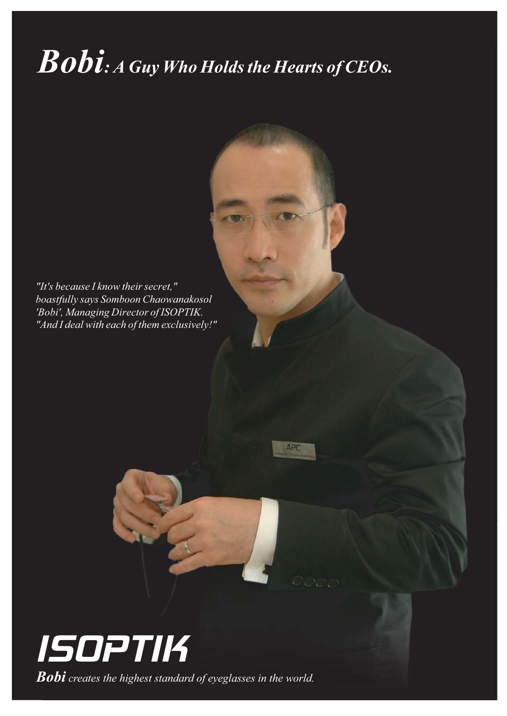## *Bobi: A Guy Who Holds the Hearts of CEOs.*

APD

*"It's because I know their secret," boastfully says Somboon Chaowanakosol 'Bobi', Managing Director of ISOPTIK. "And I deal with each of them exclusively!"*



*Bobi creates the highest standard of eyeglasses in the world.*